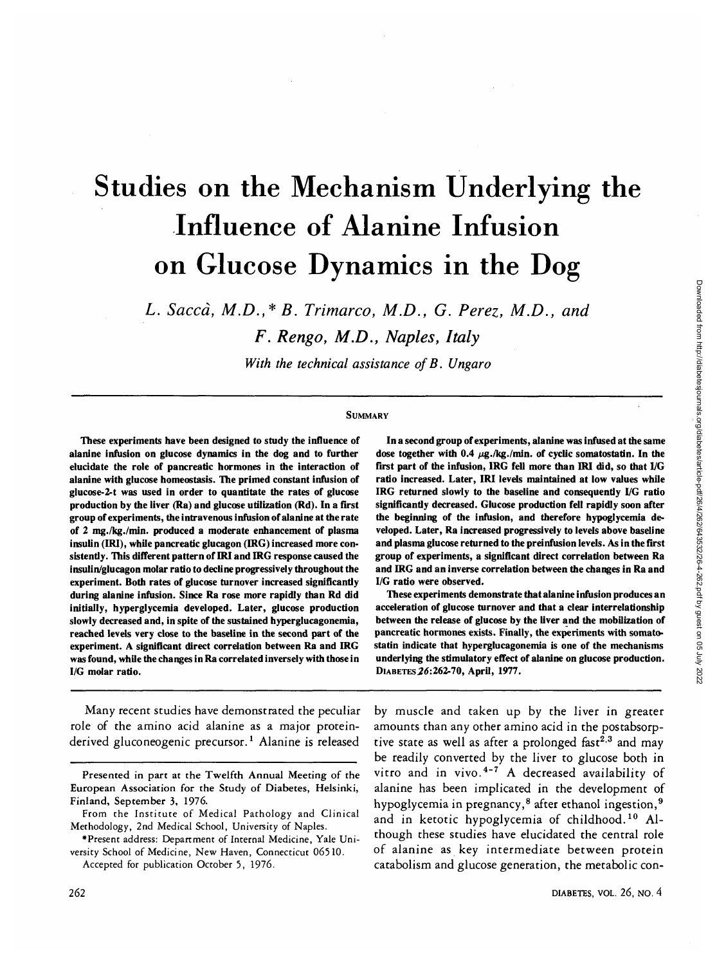# Studies on the Mechanism Underlying the Influence of Alanine Infusion on Glucose Dynamics in the Dog

*L. Saccd, M.D.,\* B. Trimarco, M.D., G. Perez, M.D., and*

*F. Rengo, M.D., Naples, Italy*

*With the technical assistance of B. Ungaro*

#### **SUMMARY**

**These experiments have been designed to study the influence of alanine infusion on glucose dynamics in the dog and to further elucidate the role of pancreatic hormones in the interaction of alanine with glucose homeostasis. The primed constant infusion of glucose-2-t was used in order to quantitate the rates of glucose production by the liver (Ra) and glucose utilization (Rd). In a first group of experiments, the intravenous infusion of alanine at the rate of 2 mg./kg./min. produced a moderate enhancement of plasma insulin (IRI), while pancreatic glucagon (IRG) increased more consistently. This different pattern of IRI and IRG response caused the insulin/glucagon molar ratio to decline progressively throughout the experiment. Both rates of glucose turnover increased significantly during alanine infusion. Since Ra rose more rapidly than Rd did initially, hyperglycemia developed. Later, glucose production slowly decreased and, in spite of the sustained hyperglucagonemia, reached levels very close to the baseline in the second part of the experiment. A significant direct correlation between Ra and IRG was found, while the changes in Ra correlated inversely with those in I/G molar ratio.**

Many recent studies have demonstrated the peculiar role of the amino acid alanine as a major proteinderived gluconeogenic precursor.<sup>1</sup> Alanine is released

**In a second group of experiments, alanine was infused at the same** dose together with  $0.4 \mu g$ ./kg./min. of cyclic somatostatin. In the **first part of the infusion, IRG fell more than IRI did, so that I/G ratio increased. Later, IRI levels maintained at low values while IRG returned slowly to the baseline and consequently I/G ratio significantly decreased. Glucose production fell rapidly soon after the beginning of the infusion, and therefore hypoglycemia developed. Later, Ra increased progressively to levels above baseline and plasma glucose returned to the preinfusion levels. As in the first group of experiments, a significant direct correlation between Ra and IRG and an inverse correlation between the changes in Ra and I/G ratio were observed.**

**These experiments demonstrate that alanine infusion produces an acceleration of glucose turnover and that a clear interrelationship** between the release of glucose by the liver and the mobilization of **pancreatic hormones exists. Finally, the experiments with somatostatin indicate that hyperglucagonemia is one of the mechanisms underlying the stimulatory effect of alanine on glucose production. DIABETES***26:***262-70, April, 1977.**

by muscle and taken up by the liver in greater amounts than any other amino acid in the postabsorptive state as well as after a prolonged fast<sup>2,3</sup> and may be readily converted by the liver to glucose both in vitro and in vivo.<sup>4-7</sup> A decreased availability of alanine has been implicated in the development of hypoglycemia in pregnancy,  $\frac{1}{2}$  after ethanol ingestion,  $\frac{9}{2}$ and in ketotic hypoglycemia of childhood.<sup>10</sup> Although these studies have elucidated the central role of alanine as key intermediate between protein catabolism and glucose generation, the metabolic con-

**Presented in part at the Twelfth Annual Meeting of the European Association for the Study of Diabetes, Helsinki, Finland, September 3, 1976.**

**From the Institute of Medical Pathology and Clinical Methodology, 2nd Medical School, University of Naples.**

**<sup>•</sup>Present address: Department of Internal Medicine, Yale University School of Medicine, New Haven, Connecticut 06510.**

**Accepted for publication October 5, 1976.**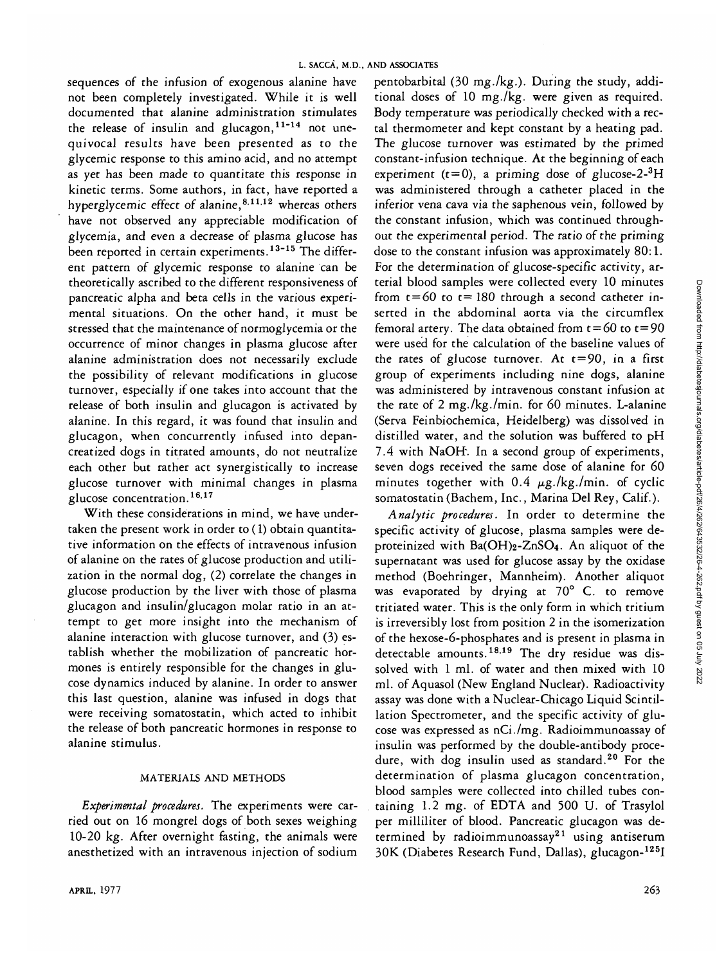sequences of the infusion of exogenous alanine have not been completely investigated. While it is well documented that alanine administration stimulates the release of insulin and glucagon,<sup>11-14</sup> not unequivocal results have been presented as to the glycemic response to this amino acid, and no attempt as yet has been made to quantitate this response in kinetic terms. Some authors, in fact, have reported a hyperglycemic effect of alanine,<sup>8.11.12</sup> whereas others have not observed any appreciable modification of glycemia, and even a decrease of plasma glucose has been reported in certain experiments.<sup>13-15</sup> The different pattern of glycemic response to alanine can be theoretically ascribed to the different responsiveness of pancreatic alpha and beta cells in the various experimental situations. On the other hand, it must be stressed that the maintenance of normoglycemia or the occurrence of minor changes in plasma glucose after alanine administration does not necessarily exclude the possibility of relevant modifications in glucose turnover, especially if one takes into account that the release of both insulin and glucagon is activated by alanine. In this regard, it was found that insulin and glucagon, when concurrently infused into depancreatized dogs in titrated amounts, do not neutralize each other but rather act synergistically to increase glucose turnover with minimal changes in plasma glucose concentration.<sup>1617</sup>

With these considerations in mind, we have undertaken the present work in order to (1) obtain quantitative information on the effects of intravenous infusion of alanine on the rates of glucose production and utilization in the normal dog, (2) correlate the changes in glucose production by the liver with those of plasma glucagon and insulin/glucagon molar ratio in an attempt to get more insight into the mechanism of alanine interaction with glucose turnover, and (3) establish whether the mobilization of pancreatic hormones is entirely responsible for the changes in glucose dynamics induced by alanine. In order to answer this last question, alanine was infused in dogs that were receiving somatostatin, which acted to inhibit the release of both pancreatic hormones in response to alanine stimulus.

# MATERIALS AND METHODS

*Experimental procedures.* The experiments were carried out on 16 mongrel dogs of both sexes weighing 10-20 kg. After overnight fasting, the animals were anesthetized with an intravenous injection of sodium

pentobarbital (30 mg./kg.). During the study, additional doses of 10 mg./kg. were given as required. Body temperature was periodically checked with a rectal thermometer and kept constant by a heating pad. The glucose turnover was estimated by the primed constant-infusion technique. At the beginning of each experiment ( $t=0$ ), a priming dose of glucose-2-<sup>3</sup>H was administered through a catheter placed in the inferior vena cava via the saphenous vein, followed by the constant infusion, which was continued throughout the experimental period. The ratio of the priming dose to the constant infusion was approximately 80:1. For the determination of glucose-specific activity, arterial blood samples were collected every 10 minutes from  $t = 60$  to  $t = 180$  through a second catheter inserted in the abdominal aorta via the circumflex femoral artery. The data obtained from  $t = 60$  to  $t = 90$ were used for the calculation of the baseline values of the rates of glucose turnover. At  $t = 90$ , in a first group of experiments including nine dogs, alanine was administered by intravenous constant infusion at the rate of 2 mg./kg./min. for 60 minutes. L-alanine (Serva Feinbiochemica, Heidelberg) was dissolved in distilled water, and the solution was buffered to pH 7.4 with NaOH. In a second group of experiments, seven dogs received the same dose of alanine for 60 minutes together with  $0.4 \mu g$ ./kg./min. of cyclic somatostatin (Bachem, Inc., Marina Del Rey, Calif.).

*Analytic procedures.* In order to determine the specific activity of glucose, plasma samples were deproteinized with Ba(OH)2-ZnSO4. An aliquot of the supernatant was used for glucose assay by the oxidase method (Boehringer, Mannheim). Another aliquot method (Dochinger, manificant, mother and do tritiants was the only form in which the only form in which the only form in which the only form in which the only form in which the only form in the contribution of the contribution of the contribution of the contribution tritiated water. This is the only form in which tritium<br>is irreversibly lost from position 2 in the isomerization  $\frac{1}{2}$  is increasibly fost from position  $\frac{1}{2}$  in the isometrization of the nexose-o-phosphate detectable amounts.<sup>18,19</sup> The dry residue was dissolved with 1 million with the with 10 million mixed with 10 minutes with 10 minutes with 10 minutes with 10 minutes with 10 minutes with 10 minutes with 10 minutes with 10 minutes with 10 minutes with 10 minutes with 10 m  $\frac{1}{2}$  multipliers and their integrated with  $\frac{1}{2}$ ml. of Aquasol (New England Nuclear). Radioactivity assay was done with a Nuclear-Chicago Liquid Scintillation Spectrometer, and the specific activity of glucose was expressed as  $nCi$ ./mg. Radioimmunoassay of insulin was performed by the double-antibody procedure, with dog insulin used as standard.<sup>20</sup> For the determination of plasma glucagon concentration, blood samples were collected into chilled tubes containing  $1.2$  mg. of EDTA and 500 U. of Trasylol per milliliter of blood. Pancreatic glucagon was determined by radioimmunoassay<sup>21</sup> using antiserum<br>30K (Diabetes Research Fund, Dallas), glucagon-<sup>125</sup>I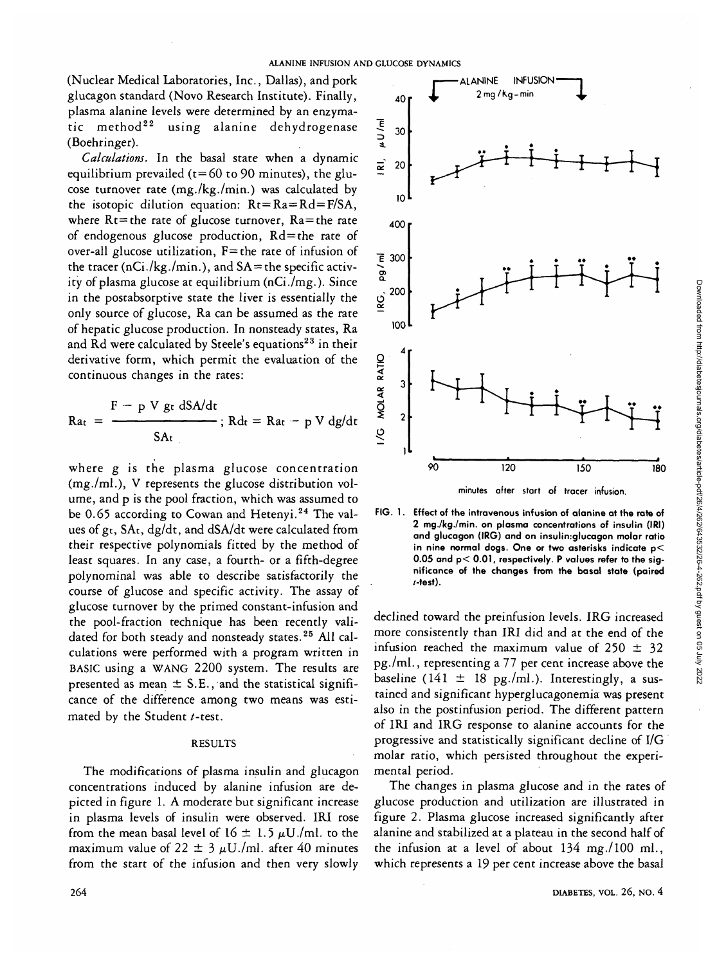(Nuclear Medical Laboratories, Inc., Dallas), and pork glucagon standard (Novo Research Institute). Finally, plasma alanine levels were determined by an enzymatic method<sup>22</sup> using alanine dehydrogenase (Boehringer).

*Calculations.* In the basal state when a dynamic equilibrium prevailed ( $t=60$  to 90 minutes), the glucose turnover rate (mg./kg./min.) was calculated by the isotopic dilution equation:  $Rt = Ra = Rd = F/SA$ , where  $Rt$ =the rate of glucose turnover,  $Ra$ =the rate of endogenous glucose production, Rd=the rate of over-all glucose utilization,  $F$ =the rate of infusion of the tracer (nCi./kg./min.), and  $SA$  = the specific activity of plasma glucose at equilibrium (nCi./mg.). Since in the postabsorptive state the liver is essentially the only source of glucose, Ra can be assumed as the rate of hepatic glucose production. In nonsteady states, Ra and Rd were calculated by Steele's equations<sup>23</sup> in their derivative form, which permit the evaluation of the continuous changes in the rates:

$$
Ra_{t} = \frac{F - p V g_{t} dSA/dt}{SA_{t}}; Rd_{t} = Ra_{t} - p V dg/dt
$$

where g is the plasma glucose concentration (mg./ml.), V represents the glucose distribution volume, and p is the pool fraction, which was assumed to be 0.65 according to Cowan and Hetenyi.<sup>24</sup> The values of gt, SAt, dg/dt, and dSA/dt were calculated from their respective polynomials fitted by the method of least squares. In any case, a fourth- or a fifth-degree polynominal was able to describe satisfactorily the course of glucose and specific activity. The assay of glucose turnover by the primed constant-infusion and the pool-fraction technique has been recently validated for both steady and nonsteady states.<sup>25</sup> All calculations were performed with a program written in BASIC using a WANG 2200 system. The results are presented as mean  $\pm$  S.E., and the statistical significance of the difference among two means was estimated by the Student t-test.

### RESULTS

The modifications of plasma insulin and glucagon concentrations induced by alanine infusion are depicted in figure 1. A moderate but significant increase in plasma levels of insulin were observed. IRI rose from the mean basal level of  $16 \pm 1.5 \mu U$ ./ml. to the maximum value of 22  $\pm$  3  $\mu$ U./ml. after 40 minutes from the start of the infusion and then very slowly



**FIG. 1. Effect of the intravenous infusion of alanine at the rate of 2 mg./kg./min. on plasma concentrations of insulin (IRI) and glucagon (IRG) and on insulin:glucagon molar ratio in nine normal dogs. One or two asterisks indicate p<** 0.05 and p< 0.01, respectively. P values refer to the sig**nificance of the changes from the basal state (paired /-test).**

declined toward the preinfusion levels. IRG increased more consistently than IRI did and at the end of the infusion reached the maximum value of  $250 \pm 32$ pg./ml., representing a 77 per cent increase above the baseline (141  $\pm$  18 pg./ml.). Interestingly, a sustained and significant hyperglucagonemia was present also in the postinfusion period. The different pattern of IRI and IRG response to alanine accounts for the progressive and statistically significant decline of I/G molar ratio, which persisted throughout the experimental period.

The changes in plasma glucose and in the rates of glucose production and utilization are illustrated in figure 2. Plasma glucose increased significantly after alanine and stabilized at a plateau in the second half of the infusion at a level of about 134 mg./lOO ml., which represents a 19 per cent increase above the basal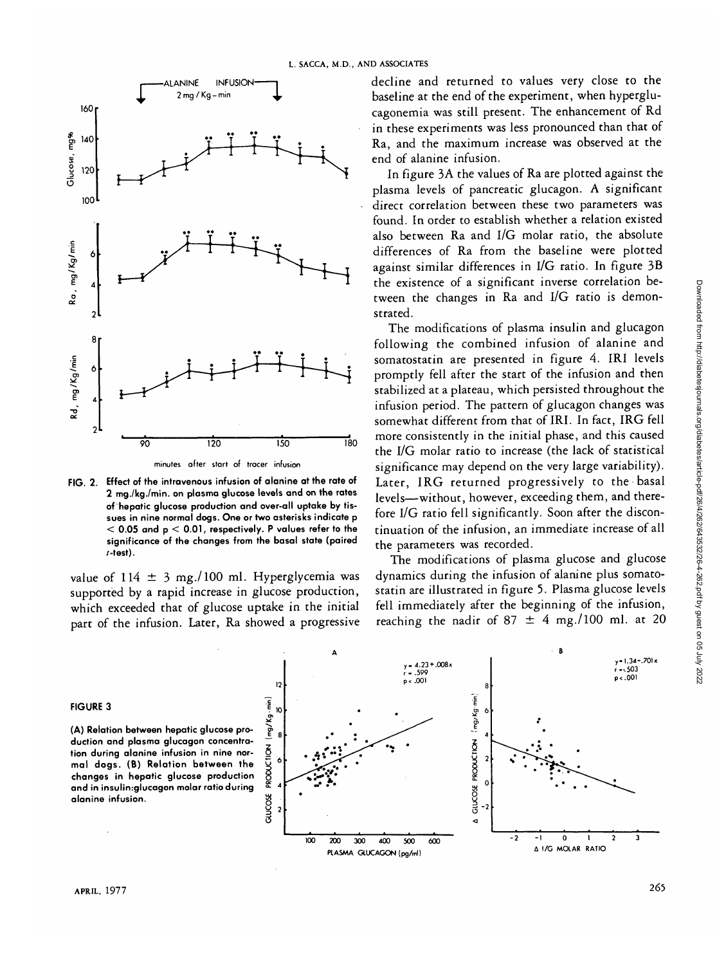

**FIG. 2. Effect of the intravenous infusion of alanine at the rate of 2 mg./kg./min. on plasma glucose levels and on the rates of hepatic glucose production and over-all uptake by tissues in nine normal dogs. One or two asterisks indicate p < 0.05 and p < 0.01, respectively. P values refer to the significance of the changes from the basal state (paired /-test).**

value of  $114 \pm 3$  mg./100 ml. Hyperglycemia was supported by a rapid increase in glucose production, which exceeded that of glucose uptake in the initial part of the infusion. Later, Ra showed a progressive decline and returned to values very close to the baseline at the end of the experiment, when hyperglucagonemia was still present. The enhancement of Rd in these experiments was less pronounced than that of Ra, and the maximum increase was observed at the end of alanine infusion.

In figure 3A the values of Ra are plotted against the plasma levels of pancreatic glucagon. A significant direct correlation between these two parameters was found. In order to establish whether a relation existed also between Ra and I/G molar ratio, the absolute differences of Ra from the baseline were plotted against similar differences in I/G ratio. In figure 3B the existence of a significant inverse correlation between the changes in Ra and I/G ratio is demonstrated.

The modifications of plasma insulin and glucagon following the combined infusion of alanine and somatostatin are presented in figure 4. IRI levels promptly fell after the start of the infusion and then stabilized at a plateau, which persisted throughout the infusion period. The pattern of glucagon changes was somewhat different from that of IRI. In fact, IRG fell more consistently in the initial phase, and this caused the I/G molar ratio to increase (the lack of statistical significance may depend on the very large variability). Later, IRG returned progressively to the basal levels—without, however, exceeding them, and therefore I/G ratio fell significantly. Soon after the discontinuation of the infusion, an immediate increase of all the parameters was recorded.

The modifications of plasma glucose and glucose dynamics during the infusion of alanine plus somatostatin are illustrated in figure 5. Plasma glucose levels fell immediately after the beginning of the infusion, reaching the nadir of  $87 \pm 4$  mg./100 ml. at 20

### **FIGURE 3**

**(A) Relation between hepatic glucose production and plasma glucagon concentration during alanine infusion in nine normal dogs. (B) Relation between the changes in hepatic glucose production and in insulin:glucagon molar ratio during alanine infusion.**

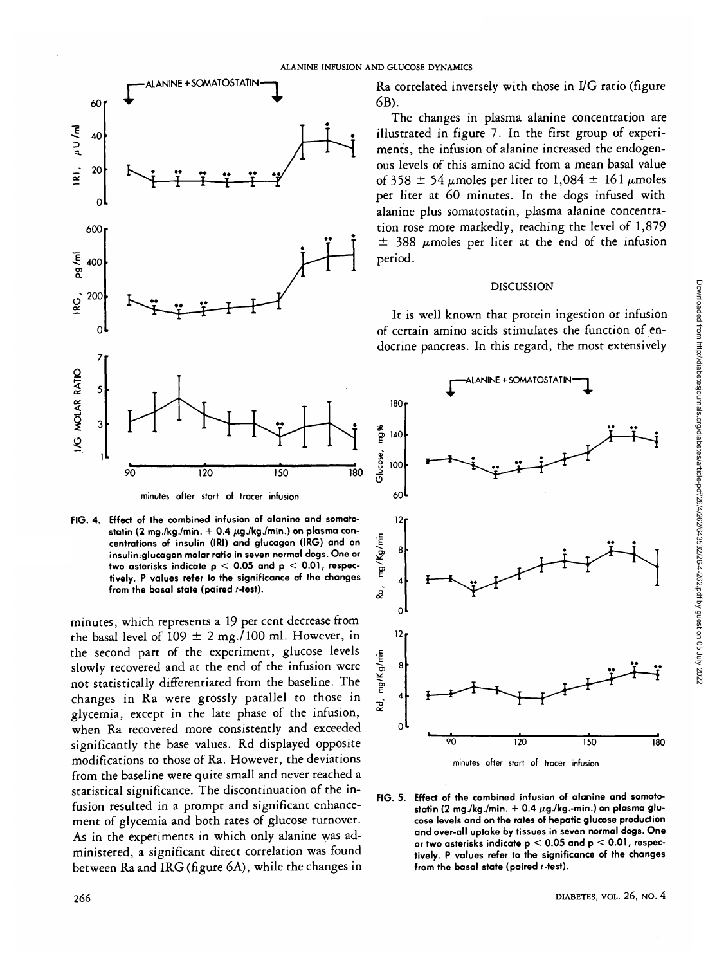

**FIG. 4. Effect of the combined infusion of alanine and somato**statin  $(2 \text{ mg./kg./min.} + 0.4 \mu g./kg./min.)$  on plasma con**centrations of insulin (IRI) and glucagon (IRG) and on insulin:glucagon molar ratio in seven normal dogs. One or two asterisks indicate p < 0.05 and p < 0.01, respectively. P values refer to the significance of the changes from the basal state (paired /-test).**

minutes, which represents a 19 per cent decrease from the basal level of 109  $\pm$  2 mg./100 ml. However, in the second part of the experiment, glucose levels slowly recovered and at the end of the infusion were not statistically differentiated from the baseline. The changes in Ra were grossly parallel to those in glycemia, except in the late phase of the infusion, when Ra recovered more consistently and exceeded significantly the base values. Rd displayed opposite modifications to those of Ra. However, the deviations from the baseline were quite small and never reached a statistical significance. The discontinuation of the infusion resulted in a prompt and significant enhancement of glycemia and both rates of glucose turnover. As in the experiments in which only alanine was administered, a significant direct correlation was found between Ra and IRG (figure 6A), while the changes in Ra correlated inversely with those in I/G ratio (figure 6B).

The changes in plasma alanine concentration are illustrated in figure 7. In the first group of experiments, the infusion of alanine increased the endogenous levels of this amino acid from a mean basal value of 358  $\pm$  54  $\mu$ moles per liter to 1,084  $\pm$  161  $\mu$ moles per liter at 60 minutes. In the dogs infused with alanine plus somatostatin, plasma alanine concentration rose more markedly, reaching the level of 1,879  $\pm$  388  $\mu$ moles per liter at the end of the infusion period.

## DISCUSSION

It is well known that protein ingestion or infusion of certain amino acids stimulates the function of endocrine pancreas. In this regard, the most extensively



**FIG. 5. Effect of the combined infusion of alanine and somatostatin (2 mg./kg./min. + 0.4 /xg./kg.-min.) on plasma glucose levels and on the rates of hepatic glucose production and over-all uptake by tissues in seven normal dogs. One or two asterisks indicate p < 0.05 and p < 0.01, respectively. P values refer to the significance of the changes from the basal state (paired /-test).**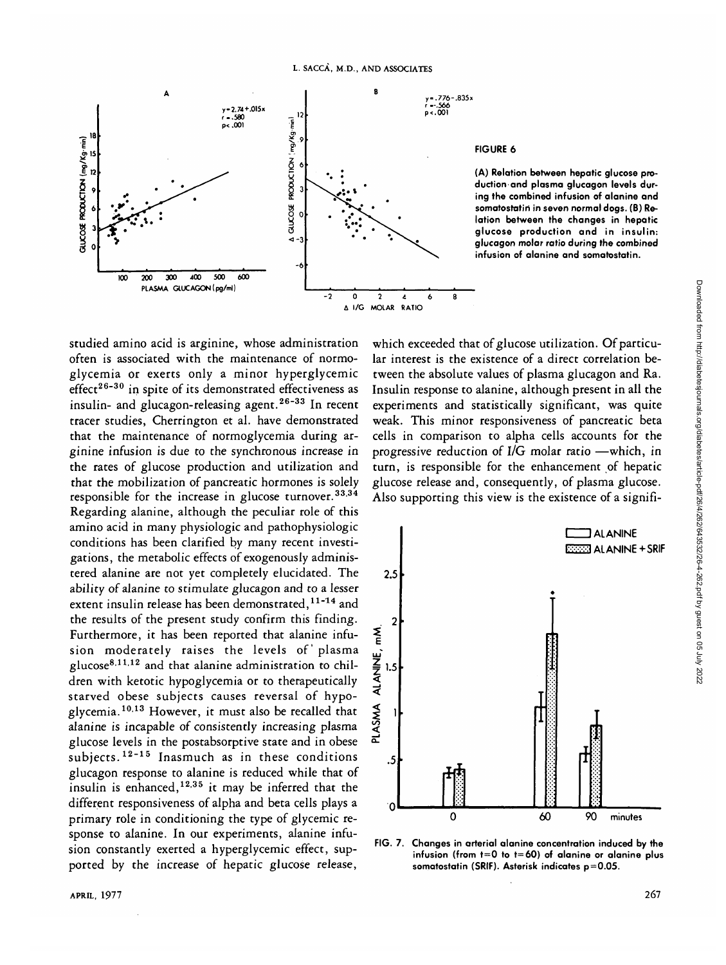

#### **FIGURE 6**

**(A) Relation between hepatic glucose production and plasma glucagon levels during the combined infusion of alanine and somatostatiri in seven normal dogs. (B) Relation between the changes in hepatic glucose production and in insulin: glucagon molar ratio during the combined infusion of alanine and somatostatin.**

studied amino acid is arginine, whose administration often is associated with the maintenance of normoglycemia or exerts only a minor hyperglycemic effect<sup>26-30</sup> in spite of its demonstrated effectiveness as insulin- and glucagon-releasing agent.<sup>26-33</sup> In recent tracer studies, Cherrington et al. have demonstrated that the maintenance of normoglycemia during arginine infusion is due to the synchronous increase in the rates of glucose production and utilization and that the mobilization of pancreatic hormones is solely responsible for the increase in glucose turnover.<sup>33,34</sup> Regarding alanine, although the peculiar role of this amino acid in many physiologic and pathophysiologic conditions has been clarified by many recent investigations, the metabolic effects of exogenously administered alanine are not yet completely elucidated. The ability of alanine to stimulate glucagon and to a lesser extent insulin release has been demonstrated,<sup>11-14</sup> and the results of the present study confirm this finding. Furthermore, it has been reported that alanine infusion moderately raises the levels of plasma glucose<sup>8,11,12</sup> and that alanine administration to children with ketotic hypoglycemia or to therapeutically starved obese subjects causes reversal of hypoglycemia.<sup>1013</sup> However, it must also be recalled that alanine is incapable of consistently increasing plasma glucose levels in the postabsorptive state and in obese subjects.  $12-15$  Inasmuch as in these conditions glucagon response to alanine is reduced while that of insulin is enhanced.<sup>12,35</sup> it may be inferred that the different responsiveness of alpha and beta cells plays a primary role in conditioning the type of glycemic response to alanine. In our experiments, alanine infusion constantly exerted a hyperglycemic effect, supported by the increase of hepatic glucose release,

which exceeded that of glucose utilization. Of particular interest is the existence of a direct correlation between the absolute values of plasma glucagon and Ra. Insulin response to alanine, although present in all the experiments and statistically significant, was quite weak. This minor responsiveness of pancreatic beta cells in comparison to alpha cells accounts for the progressive reduction of I/G molar ratio —which, in turn, is responsible for the enhancement of hepatic glucose release and, consequently, of plasma glucose. Also supporting this view is the existence of a signifi-

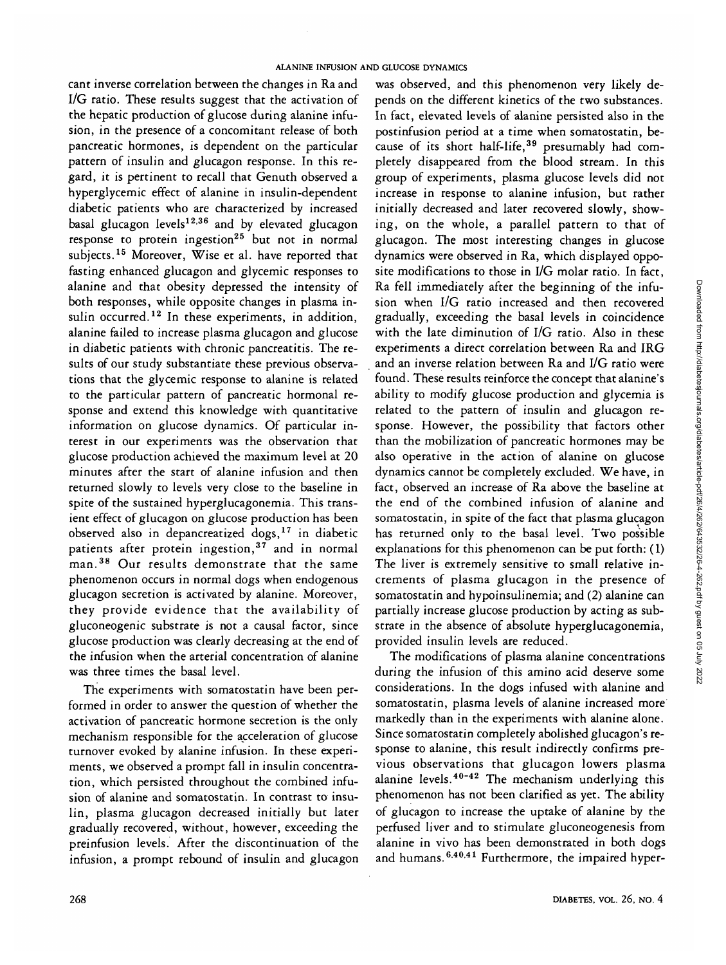cant inverse correlation between the changes in Ra and I/G ratio. These results suggest that the activation of the hepatic production of glucose during alanine infusion, in the presence of a concomitant release of both pancreatic hormones, is dependent on the particular pattern of insulin and glucagon response. In this regard, it is pertinent to recall that Genuth observed a hyperglycemic effect of alanine in insulin-dependent diabetic patients who are characterized by increased basal glucagon levels<sup>12,36</sup> and by elevated glucagon response to protein ingestion<sup>25</sup> but not in normal subjects.<sup>15</sup> Moreover, Wise et al. have reported that fasting enhanced glucagon and glycemic responses to alanine and that obesity depressed the intensity of both responses, while opposite changes in plasma insulin occurred.<sup>12</sup> In these experiments, in addition, alanine failed to increase plasma glucagon and glucose in diabetic patients with chronic pancreatitis. The results of our study substantiate these previous observations that the glycemic response to alanine is related to the particular pattern of pancreatic hormonal response and extend this knowledge with quantitative information on glucose dynamics. Of particular interest in our experiments was the observation that glucose production achieved the maximum level at 20 minutes after the start of alanine infusion and then returned slowly to levels very close to the baseline in spite of the sustained hyperglucagonemia. This transient effect of glucagon on glucose production has been observed also in depancreatized dogs,<sup>17</sup> in diabetic patients after protein ingestion,<sup>37</sup> and in normal man.<sup>38</sup> Our results demonstrate that the same phenomenon occurs in normal dogs when endogenous glucagon secretion is activated by alanine. Moreover, they provide evidence that the availability of gluconeogenic substrate is not a causal factor, since glucose production was clearly decreasing at the end of the infusion when the arterial concentration of alanine was three times the basal level.

The experiments with somatostatin have been performed in order to answer the question of whether the activation of pancreatic hormone secretion is the only mechanism responsible for the acceleration of glucose turnover evoked by alanine infusion. In these experiments, we observed a prompt fall in insulin concentration, which persisted throughout the combined infusion of alanine and somatostatin. In contrast to insulin, plasma glucagon decreased initially but later gradually recovered, without, however, exceeding the preinfusion levels. After the discontinuation of the infusion, a prompt rebound of insulin and glucagon was observed, and this phenomenon very likely depends on the different kinetics of the two substances. In fact, elevated levels of alanine persisted also in the postinfusion period at a time when somatostatin, because of its short half-life,<sup>39</sup> presumably had completely disappeared from the blood stream. In this group of experiments, plasma glucose levels did not increase in response to alanine infusion, but rather initially decreased and later recovered slowly, showing, on the whole, a parallel pattern to that of glucagon. The most interesting changes in glucose dynamics were observed in Ra, which displayed opposite modifications to those in I/G molar ratio. In fact, Ra fell immediately after the beginning of the infusion when I/G ratio increased and then recovered gradually, exceeding the basal levels in coincidence with the late diminution of I/G ratio. Also in these experiments a direct correlation between Ra and IRG and an inverse relation between Ra and I/G ratio were found. These results reinforce the concept that alanine's ability to modify glucose production and glycemia is related to the pattern of insulin and glucagon response. However, the possibility that factors other than the mobilization of pancreatic hormones may be also operative in the action of alanine on glucose dynamics cannot be completely excluded. We have, in fact, observed an increase of Ra above the baseline at the end of the combined infusion of alanine and somatostatin, in spite of the fact that plasma glucagon has returned only to the basal level. Two possible explanations for this phenomenon can be put forth: (1) The liver is extremely sensitive to small relative increments of plasma glucagon in the presence of somatostatin and hypoinsulinemia; and (2) alanine can partially increase glucose production by acting as substrate in the absence of absolute hyperglucagonemia, provided insulin levels are reduced.

The modifications of plasma alanine concentrations during the infusion of this amino acid deserve some considerations. In the dogs infused with alanine and somatostatin, plasma levels of alanine increased more markedly than in the experiments with alanine alone. Since somatostatin completely abolished glucagon's response to alanine, this result indirectly confirms previous observations that glucagon lowers plasma alanine levels.<sup>40-42</sup> The mechanism underlying this phenomenon has not been clarified as yet. The ability of glucagon to increase the uptake of alanine by the perfused liver and to stimulate gluconeogenesis from alanine in vivo has been demonstrated in both dogs and humans. 6,40,41 Furthermore, the impaired hyper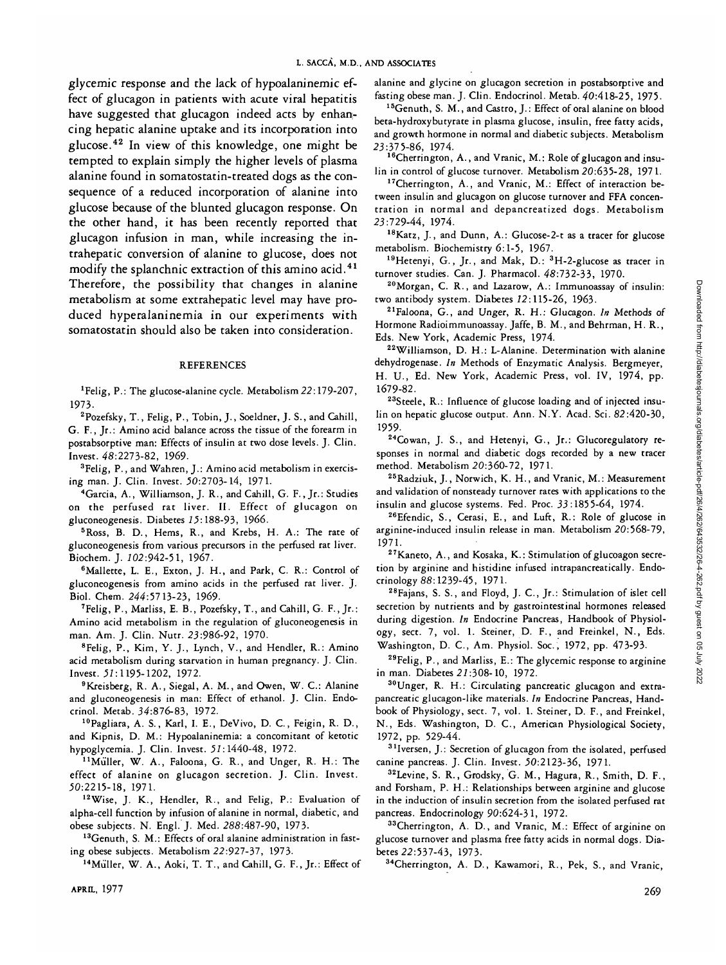glycemic response and the lack of hypoalaninemic effect of glucagon in patients with acute viral hepatitis have suggested that glucagon indeed acts by enhancing hepatic alanine uptake and its incorporation into glucose.<sup>42</sup> In view of this knowledge, one might be tempted to explain simply the higher levels of plasma alanine found in somatostatin-treated dogs as the consequence of a reduced incorporation of alanine into glucose because of the blunted glucagon response. On the other hand, it has been recently reported that glucagon infusion in man, while increasing the intrahepatic conversion of alanine to glucose, does not modify the splanchnic extraction of this amino acid.<sup>41</sup> Therefore, the possibility that changes in alanine metabolism at some extrahepatic level may have produced hyperalaninemia in our experiments with somatostatin should also be taken into consideration.

#### REFERENCES

1 Felig, P.: The glucose-alanine cycle. Metabolism *22:*179-207, 1973.

2 Pozefsky, T., Felig, P., Tobin, J., Soeldner, J. S., and Cahill, G. F., Jr.: Amino acid balance across the tissue of the forearm in postabsorptive man: Effects of insulin at two dose levels. J. Clin. Invest. 48:2273-82, 1969.

<sup>3</sup>Felig, P., and Wahren, J.: Amino acid metabolism in exercising man. J. Clin. Invest. 30:2703-14, 1971.

4 Garcia, A., Williamson, J. R., and Cahill, G. F., Jr.: Studies on the perfused rat liver. II. Effect of glucagon on gluconeogenesis. Diabetes *15:*188-93, 1966.

5 Ross, B. D., Hems, R., and Krebs, H. A.: The rate of gluconeogenesis from various precursors in the perfused rat liver. Biochem. J. 702:942-51, 1967.

6 Mallette, L. E., Exton, J. H., and Park, C. R.: Control of gluconeogenesis from amino acids in the perfused rat liver. J. Biol. Chem. 244:5713-23, 1969.

<sup>7</sup> Felig, P., Marliss, E. B., Pozefsky, T., and Cahill, G. F., Jr.: Amino acid metabolism in the regulation of gluconeogenesis in man. Am. J. Clin. Nutr. 23:986-92, 1970.

<sup>8</sup>Felig, P., Kim, Y. J., Lynch, V., and Hendler, R.: Amino acid metabolism during starvation in human pregnancy. J. Clin. Invest. 32:1195-1202, 1972.

<sup>9</sup> Kreisberg, R. A., Siegal, A. M., and Owen, W. C.: Alanine and gluconeogenesis in man: Effect of ethanol. J. Clin. Endocrinol. Metab. 34:876-83, 1972.

<sup>10</sup>Pagliara, A. S., Karl, I. E., DeVivo, D. C., Feigin, R. D., and Kipnis, D. M.: Hypoalaninemia: a concomitant of ketotic hypoglycemia. J. Clin. Invest. 57:1440-48, 1972.

<sup>11</sup>Müller, W. A., Faloona, G. R., and Unger, R. H.: The effect of alanine on glucagon secretion. J. Clin. Invest. 50:2215-18, 1971.

12Wise, J. K., Hendler, R., and Felig, P.: Evaluation of alpha-cell function by infusion of alanine in normal, diabetic, and obese subjects. N. Engl.'j. Med. 288:487-90, 1973.

<sup>13</sup>Genuth, S. M.: Effects of oral alanine administration in fasting obese subjects. Metabolism 22:927-37, 1973.

14Muller, W. A., Aoki, T. T., and Cahill, G. F., Jr.: Effect of

alanine and glycine on glucagon secretion in postabsorptive and fasting obese man. J. Clin. Endocrinol. Metab. 40:418-25, 1975.

15Genuth, S. M., and Castro, J.: Effect of oral alanine on blood beta-hydroxybutyrate in plasma glucose, insulin, free fatty acids, and growth hormone in normal and diabetic subjects. Metabolism 23:375-86, 1974.

16Cherrington, A., and Vranic, M.: Role of glucagon and insulin in control of glucose turnover. Metabolism 20:635-28, 1971.

<sup>17</sup>Cherrington, A., and Vranic, M.: Effect of interaction between insulin and glucagon on glucose turnover and FFA concentration in normal and depancreatized dogs. Metabolism 23:729-44, 1974.

18Katz, J., and Dunn, A.: Glucose-2-t as a tracer for glucose metabolism. Biochemistry 6:1-5, 1967.

<sup>19</sup>Hetenyi, G., Jr., and Mak, D.: <sup>3</sup>H-2-glucose as tracer in turnover studies. Can. J. Pharmacol. 48:732-33, 1970.

20Morgan, C. R., and Lazarow, A.: Immunoassay of insulin: two antibody system. Diabetes 12:115-26, 1963.

2 faloona, G., and Unger, R. H.: Glucagon. *In* Methods of Hormone Radioimmunoassay. Jaffe, B. M., and Behrman, H. R., Eds. New York, Academic Press, 1974.

22Williamson, D. H.: L-Alanine. Determination with alanine dehydrogenase. *In* Methods of Enzymatic Analysis. Bergmeyer, H. U., Ed. New York, Academic Press, vol. IV, 1974, pp. 1679-82.

23Steele, R.: Influence of glucose loading and of injected insulin on hepatic glucose output. Ann. N.Y. Acad. Sci. 82:420-30, 1959-

24Cowan, J. S., and Hetenyi, G., Jr.: Glucoregulatory responses in normal and diabetic dogs recorded by a new tracer method. Metabolism 20:360-72, 1971.

25Radziuk, J., Norwich, K. H., and Vranic, M.: Measurement and validation of nonsteady turnover rates with applications to the insulin and glucose systems. Fed. Proc. 33:1855-64, 1974.

<sup>26</sup>Efendic, S., Cerasi, E., and Luft, R.: Role of glucose in arginine-induced insulin release in man. Metabolism 20:568-79, 1971.

<sup>27</sup>Kaneto, A., and Kosaka, K.: Stimulation of glucoagon secretion by arginine and histidine infused intrapancreatically. Endocrinology *88:*1239-45, 1971.

<sup>28</sup>Fajans, S. S., and Floyd, J. C., Jr.: Stimulation of islet cell secretion by nutrients and by gastrointestinal hormones released during digestion. *In* Endocrine Pancreas, Handbook of Physiology, sect. 7, vol. 1. Steiner, D. F., and Freinkel, N., Eds. Washington, D. C., Am. Physiol. Soc., 1972, pp. 473-93.

<sup>29</sup>Felig, P., and Marliss, E.: The glycemic response to arginine in man. Diabetes 27:308-10, 1972.

30Unger, R. H.: Circulating pancreatic glucagon and extrapancreatic glucagon-like materials. *In* Endocrine Pancreas, Handbook of Physiology, sect. 7, vol. 1. Steiner, D. F., and Freinkel, N., Eds. Washington, D. C., American Physiological Society, 1972, pp. 529-44.

31Iversen, J.: Secretion of glucagon from the isolated, perfused canine pancreas. J. Clin. Invest. 50:2123-36, 1971.

32Levine, S. R., Grodsky, G. M., Hagura, R., Smith, D. F., and Forsham, P. H.: Relationships between arginine and glucose in the induction of insulin secretion from the isolated perfused rat pancreas. Endocrinology 90:624-3 1, 1972.

33Cherrington, A. D., and Vranic, M.: Effect of arginine on glucose turnover and plasma free fatty acids in normal dogs. Diabetes 22:537-43, 1973.

<sup>34</sup>Cherrington, A. D., Kawamori, R., Pek, S., and Vranic,